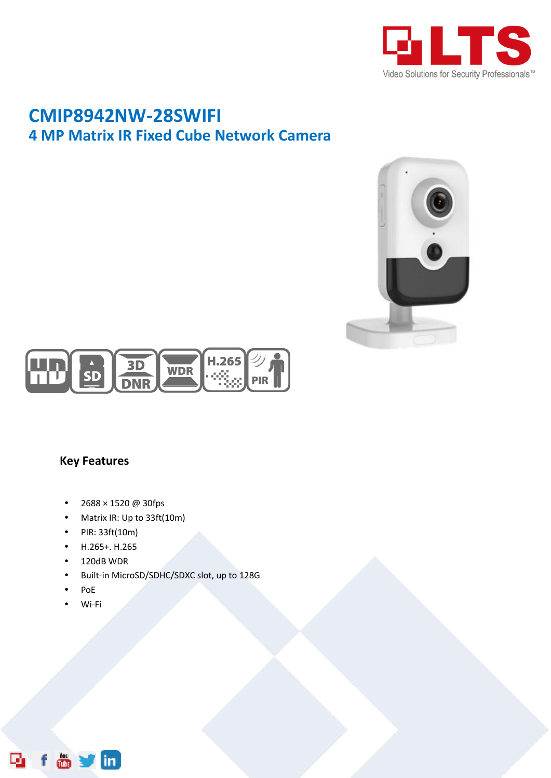

## **CMIP8942NW-28SWIFI 4 MP Matrix IR Fixed Cube Network Camera**





## **Key Features**

- $2688 \times 1520 \omega$  30fps
- Matrix IR: Up to 33ft(10m)
- PIR: 33ft(10m)
- H.265+. H.265
- 120dB WDR
- Built-in MicroSD/SDHC/SDXC slot, up to 128G
- PoE
- Wi-Fi

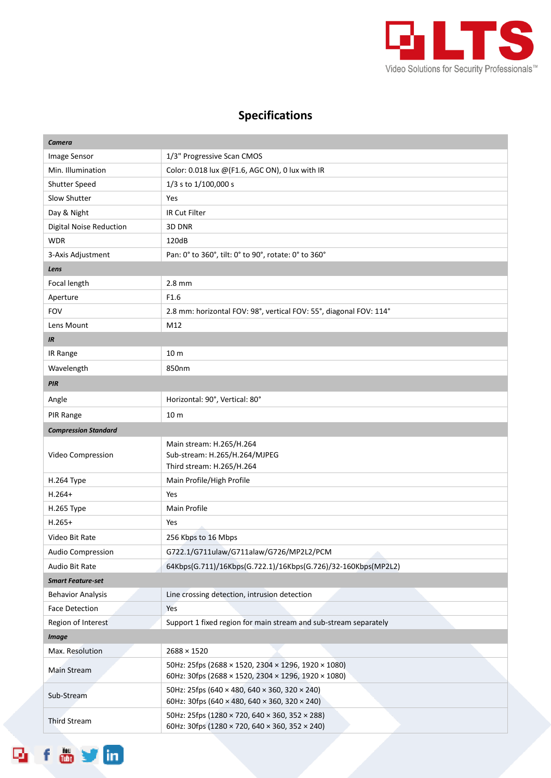

## **Specifications**

| Camera                         |                                                                                                            |  |
|--------------------------------|------------------------------------------------------------------------------------------------------------|--|
| Image Sensor                   | 1/3" Progressive Scan CMOS                                                                                 |  |
| Min. Illumination              | Color: 0.018 lux @(F1.6, AGC ON), 0 lux with IR                                                            |  |
| Shutter Speed                  | 1/3 s to 1/100,000 s                                                                                       |  |
| Slow Shutter                   | Yes                                                                                                        |  |
| Day & Night                    | IR Cut Filter                                                                                              |  |
| <b>Digital Noise Reduction</b> | 3D DNR                                                                                                     |  |
| <b>WDR</b>                     | 120dB                                                                                                      |  |
| 3-Axis Adjustment              | Pan: 0° to 360°, tilt: 0° to 90°, rotate: 0° to 360°                                                       |  |
| Lens                           |                                                                                                            |  |
| Focal length                   | $2.8$ mm                                                                                                   |  |
| Aperture                       | F1.6                                                                                                       |  |
| <b>FOV</b>                     | 2.8 mm: horizontal FOV: 98°, vertical FOV: 55°, diagonal FOV: 114°                                         |  |
| Lens Mount                     | M12                                                                                                        |  |
| IR                             |                                                                                                            |  |
| IR Range                       | 10 <sub>m</sub>                                                                                            |  |
| Wavelength                     | 850nm                                                                                                      |  |
| PIR                            |                                                                                                            |  |
| Angle                          | Horizontal: 90°, Vertical: 80°                                                                             |  |
| PIR Range                      | 10 <sub>m</sub>                                                                                            |  |
| <b>Compression Standard</b>    |                                                                                                            |  |
| Video Compression              | Main stream: H.265/H.264<br>Sub-stream: H.265/H.264/MJPEG<br>Third stream: H.265/H.264                     |  |
| H.264 Type                     | Main Profile/High Profile                                                                                  |  |
| $H.264+$                       | Yes                                                                                                        |  |
| H.265 Type                     | Main Profile                                                                                               |  |
| $H.265+$                       | Yes                                                                                                        |  |
| Video Bit Rate                 | 256 Kbps to 16 Mbps                                                                                        |  |
| Audio Compression              | G722.1/G711ulaw/G711alaw/G726/MP2L2/PCM                                                                    |  |
| Audio Bit Rate                 | 64Kbps(G.711)/16Kbps(G.722.1)/16Kbps(G.726)/32-160Kbps(MP2L2)                                              |  |
| <b>Smart Feature-set</b>       |                                                                                                            |  |
| <b>Behavior Analysis</b>       | Line crossing detection, intrusion detection                                                               |  |
| <b>Face Detection</b>          | Yes                                                                                                        |  |
| Region of Interest             | Support 1 fixed region for main stream and sub-stream separately                                           |  |
| <b>Image</b>                   |                                                                                                            |  |
| Max. Resolution                | $2688 \times 1520$                                                                                         |  |
| Main Stream                    | 50Hz: 25fps (2688 × 1520, 2304 × 1296, 1920 × 1080)<br>60Hz: 30fps (2688 × 1520, 2304 × 1296, 1920 × 1080) |  |
| Sub-Stream                     | 50Hz: 25fps (640 × 480, 640 × 360, 320 × 240)<br>60Hz: 30fps (640 × 480, 640 × 360, 320 × 240)             |  |
| <b>Third Stream</b>            | 50Hz: 25fps (1280 × 720, 640 × 360, 352 × 288)<br>60Hz: 30fps (1280 × 720, 640 × 360, 352 × 240)           |  |

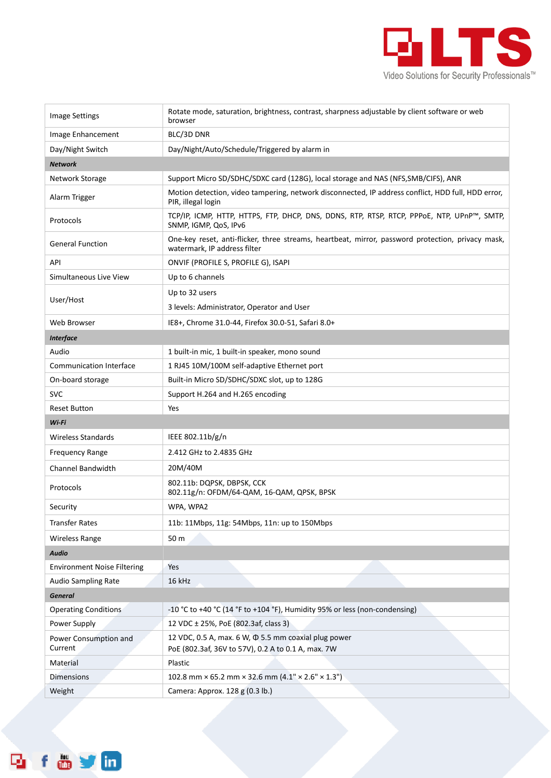

| <b>Image Settings</b>              | Rotate mode, saturation, brightness, contrast, sharpness adjustable by client software or web<br>browser                          |
|------------------------------------|-----------------------------------------------------------------------------------------------------------------------------------|
| Image Enhancement                  | BLC/3D DNR                                                                                                                        |
| Day/Night Switch                   | Day/Night/Auto/Schedule/Triggered by alarm in                                                                                     |
| <b>Network</b>                     |                                                                                                                                   |
| Network Storage                    | Support Micro SD/SDHC/SDXC card (128G), local storage and NAS (NFS, SMB/CIFS), ANR                                                |
| Alarm Trigger                      | Motion detection, video tampering, network disconnected, IP address conflict, HDD full, HDD error,<br>PIR, illegal login          |
| Protocols                          | TCP/IP, ICMP, HTTP, HTTPS, FTP, DHCP, DNS, DDNS, RTP, RTSP, RTCP, PPPoE, NTP, UPnP™, SMTP,<br>SNMP, IGMP, QoS, IPv6               |
| <b>General Function</b>            | One-key reset, anti-flicker, three streams, heartbeat, mirror, password protection, privacy mask,<br>watermark, IP address filter |
| API                                | ONVIF (PROFILE S, PROFILE G), ISAPI                                                                                               |
| Simultaneous Live View             | Up to 6 channels                                                                                                                  |
| User/Host                          | Up to 32 users                                                                                                                    |
|                                    | 3 levels: Administrator, Operator and User                                                                                        |
| Web Browser                        | IE8+, Chrome 31.0-44, Firefox 30.0-51, Safari 8.0+                                                                                |
| <b>Interface</b>                   |                                                                                                                                   |
| Audio                              | 1 built-in mic, 1 built-in speaker, mono sound                                                                                    |
| <b>Communication Interface</b>     | 1 RJ45 10M/100M self-adaptive Ethernet port                                                                                       |
| On-board storage                   | Built-in Micro SD/SDHC/SDXC slot, up to 128G                                                                                      |
| <b>SVC</b>                         | Support H.264 and H.265 encoding                                                                                                  |
| <b>Reset Button</b>                | Yes                                                                                                                               |
| Wi-Fi                              |                                                                                                                                   |
| <b>Wireless Standards</b>          | IEEE 802.11b/g/n                                                                                                                  |
| <b>Frequency Range</b>             | 2.412 GHz to 2.4835 GHz                                                                                                           |
| Channel Bandwidth                  | 20M/40M                                                                                                                           |
| Protocols                          | 802.11b: DQPSK, DBPSK, CCK<br>802.11g/n: OFDM/64-QAM, 16-QAM, QPSK, BPSK                                                          |
| Security                           | WPA, WPA2                                                                                                                         |
| <b>Transfer Rates</b>              | 11b: 11Mbps, 11g: 54Mbps, 11n: up to 150Mbps                                                                                      |
| <b>Wireless Range</b>              | 50 m                                                                                                                              |
| <b>Audio</b>                       |                                                                                                                                   |
| <b>Environment Noise Filtering</b> | Yes                                                                                                                               |
| Audio Sampling Rate                | 16 kHz                                                                                                                            |
| <b>General</b>                     |                                                                                                                                   |
| <b>Operating Conditions</b>        | -10 °C to +40 °C (14 °F to +104 °F), Humidity 95% or less (non-condensing)                                                        |
| Power Supply                       | 12 VDC ± 25%, PoE (802.3af, class 3)                                                                                              |
| Power Consumption and<br>Current   | 12 VDC, 0.5 A, max. 6 W, $\Phi$ 5.5 mm coaxial plug power<br>PoE (802.3af, 36V to 57V), 0.2 A to 0.1 A, max. 7W                   |
| Material                           | Plastic                                                                                                                           |
| <b>Dimensions</b>                  | 102.8 mm × 65.2 mm × 32.6 mm $(4.1" \times 2.6" \times 1.3")$                                                                     |
| Weight                             | Camera: Approx. 128 g (0.3 lb.)                                                                                                   |